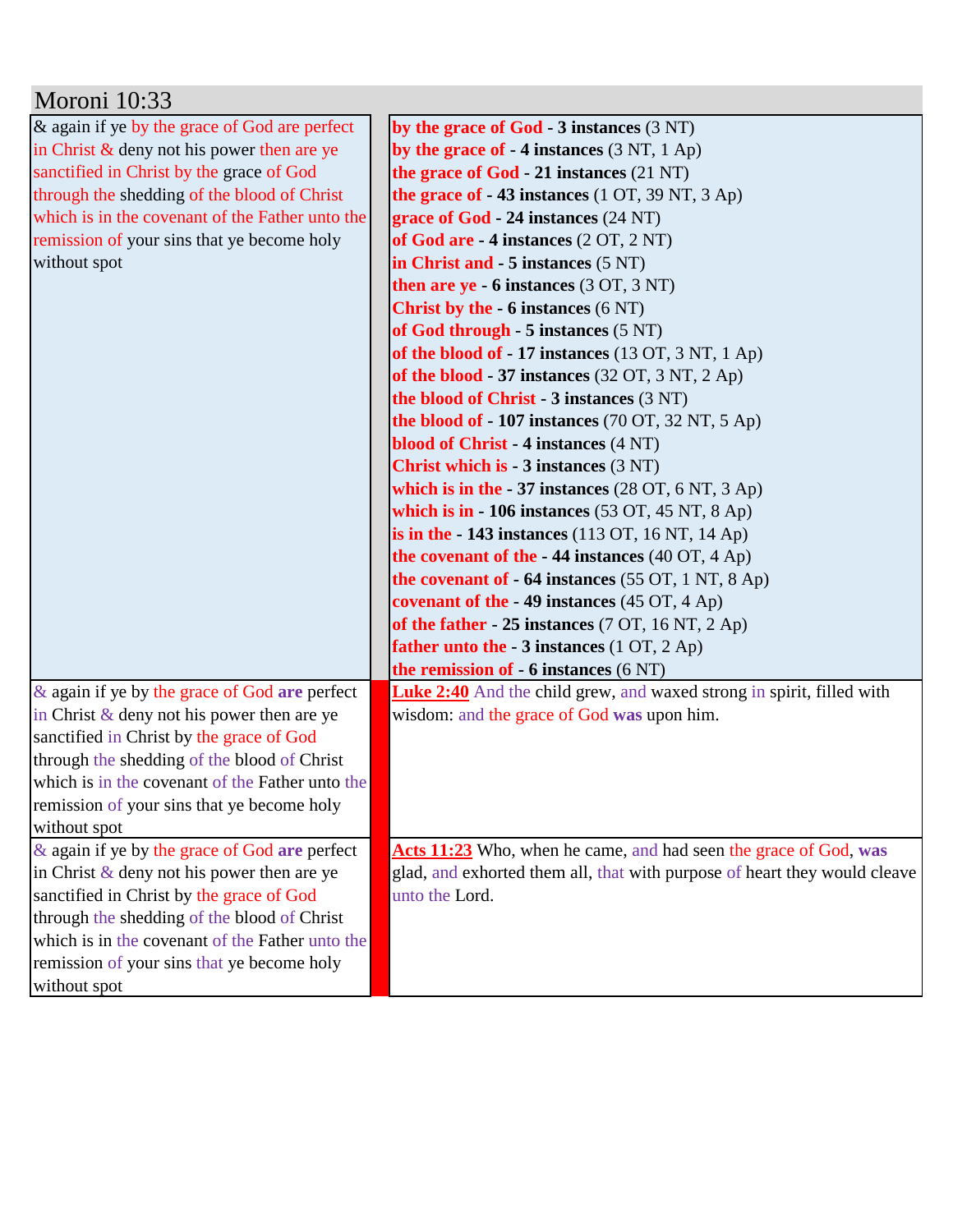| Moroni 10:33                                    |                                                                              |
|-------------------------------------------------|------------------------------------------------------------------------------|
| & again if ye by the grace of God are perfect   | by the grace of $God - 3$ instances $(3 NT)$                                 |
| in Christ $\&$ deny not his power then are ye   | by the grace of $-4$ instances $(3 \text{ NT}, 1 \text{ Ap})$                |
| sanctified in Christ by the grace of God        | the grace of God $-21$ instances $(21 \text{ NT})$                           |
| through the shedding of the blood of Christ     | the grace of $-43$ instances (1 OT, 39 NT, 3 Ap)                             |
| which is in the covenant of the Father unto the | grace of $God - 24$ instances $(24 NT)$                                      |
| remission of your sins that ye become holy      | of God are $-4$ instances $(2 OT, 2 NT)$                                     |
| without spot                                    | in Christ and - 5 instances (5 NT)                                           |
|                                                 | then are $ye - 6$ instances $(3 OT, 3 NT)$                                   |
|                                                 | <b>Christ by the - 6 instances (6 NT)</b>                                    |
|                                                 | of God through $-5$ instances $(5 \text{ NT})$                               |
|                                                 | of the blood of - 17 instances $(13 OT, 3 NT, 1 Ap)$                         |
|                                                 | of the blood - 37 instances (32 OT, 3 NT, 2 Ap)                              |
|                                                 | the blood of Christ - 3 instances (3 NT)                                     |
|                                                 | the blood of $-107$ instances (70 OT, 32 NT, 5 Ap)                           |
|                                                 | blood of Christ - 4 instances (4 NT)                                         |
|                                                 | <b>Christ which is - 3 instances (3 NT)</b>                                  |
|                                                 | which is in the $-37$ instances (28 OT, 6 NT, 3 Ap)                          |
|                                                 | which is in $-106$ instances (53 OT, 45 NT, 8 Ap)                            |
|                                                 | is in the $-143$ instances (113 OT, 16 NT, 14 Ap)                            |
|                                                 | the covenant of the $-44$ instances (40 OT, 4 Ap)                            |
|                                                 | the covenant of $-64$ instances (55 OT, 1 NT, 8 Ap)                          |
|                                                 | covenant of the $-49$ instances (45 OT, 4 Ap)                                |
|                                                 | of the father $-25$ instances (7 OT, 16 NT, 2 Ap)                            |
|                                                 | father unto the - 3 instances (1 OT, 2 Ap)                                   |
|                                                 | the remission of $-6$ instances $(6 \text{ NT})$                             |
| & again if ye by the grace of God are perfect   | <b>Luke 2:40</b> And the child grew, and waxed strong in spirit, filled with |
| in Christ $\&$ deny not his power then are ye   | wisdom: and the grace of God was upon him.                                   |
| sanctified in Christ by the grace of God        |                                                                              |
| through the shedding of the blood of Christ     |                                                                              |
| which is in the covenant of the Father unto the |                                                                              |
| remission of your sins that ye become holy      |                                                                              |
| without spot                                    |                                                                              |
| & again if ye by the grace of God are perfect   | Acts 11:23 Who, when he came, and had seen the grace of God, was             |
| in Christ $\&$ deny not his power then are ye   | glad, and exhorted them all, that with purpose of heart they would cleave    |
| sanctified in Christ by the grace of God        | unto the Lord.                                                               |
| through the shedding of the blood of Christ     |                                                                              |
| which is in the covenant of the Father unto the |                                                                              |
| remission of your sins that ye become holy      |                                                                              |
| without spot                                    |                                                                              |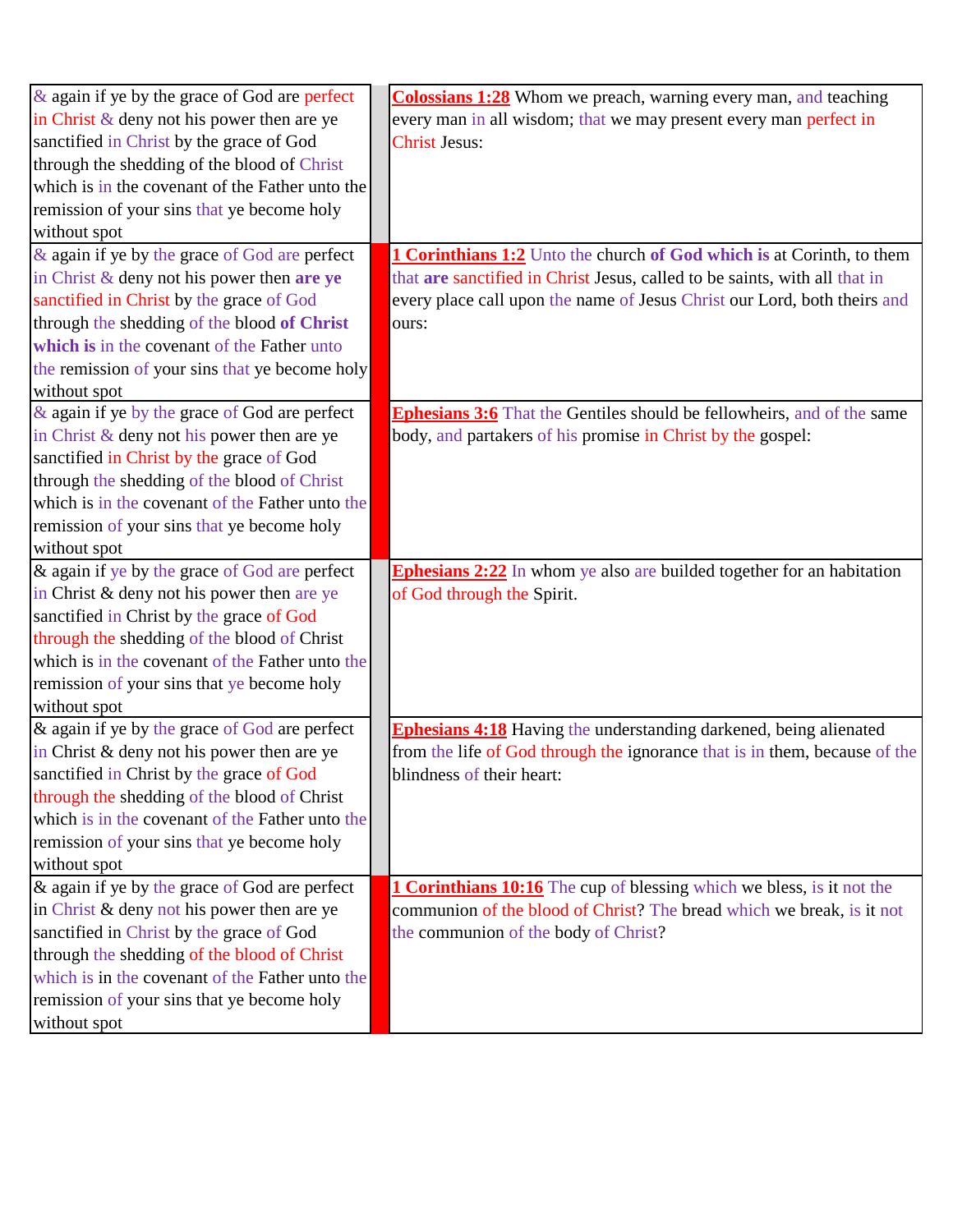| $\&$ again if ye by the grace of God are perfect | <b>Colossians 1:28</b> Whom we preach, warning every man, and teaching        |
|--------------------------------------------------|-------------------------------------------------------------------------------|
| in Christ $\&$ deny not his power then are ye    | every man in all wisdom; that we may present every man perfect in             |
| sanctified in Christ by the grace of God         | <b>Christ Jesus:</b>                                                          |
| through the shedding of the blood of Christ      |                                                                               |
| which is in the covenant of the Father unto the  |                                                                               |
| remission of your sins that ye become holy       |                                                                               |
| without spot                                     |                                                                               |
| & again if ye by the grace of God are perfect    | <b>1 Corinthians 1:2</b> Unto the church of God which is at Corinth, to them  |
| in Christ $\&$ deny not his power then are ye    | that are sanctified in Christ Jesus, called to be saints, with all that in    |
| sanctified in Christ by the grace of God         | every place call upon the name of Jesus Christ our Lord, both theirs and      |
| through the shedding of the blood of Christ      | ours:                                                                         |
| which is in the covenant of the Father unto      |                                                                               |
| the remission of your sins that ye become holy   |                                                                               |
| without spot                                     |                                                                               |
| & again if ye by the grace of God are perfect    | <b>Ephesians 3:6</b> That the Gentiles should be fellowheirs, and of the same |
| in Christ & deny not his power then are ye       | body, and partakers of his promise in Christ by the gospel:                   |
| sanctified in Christ by the grace of God         |                                                                               |
| through the shedding of the blood of Christ      |                                                                               |
| which is in the covenant of the Father unto the  |                                                                               |
| remission of your sins that ye become holy       |                                                                               |
| without spot                                     |                                                                               |
| & again if ye by the grace of God are perfect    | <b>Ephesians 2:22</b> In whom ye also are builded together for an habitation  |
| in Christ & deny not his power then are ye       | of God through the Spirit.                                                    |
| sanctified in Christ by the grace of God         |                                                                               |
| through the shedding of the blood of Christ      |                                                                               |
| which is in the covenant of the Father unto the  |                                                                               |
| remission of your sins that ye become holy       |                                                                               |
| without spot                                     |                                                                               |
| & again if ye by the grace of God are perfect    | <b>Ephesians 4:18</b> Having the understanding darkened, being alienated      |
| in Christ & deny not his power then are ye       | from the life of God through the ignorance that is in them, because of the    |
| sanctified in Christ by the grace of God         | blindness of their heart:                                                     |
| through the shedding of the blood of Christ      |                                                                               |
| which is in the covenant of the Father unto the  |                                                                               |
| remission of your sins that ye become holy       |                                                                               |
| without spot                                     |                                                                               |
| & again if ye by the grace of God are perfect    | <b>1 Corinthians 10:16</b> The cup of blessing which we bless, is it not the  |
| in Christ & deny not his power then are ye       | communion of the blood of Christ? The bread which we break, is it not         |
| sanctified in Christ by the grace of God         | the communion of the body of Christ?                                          |
|                                                  |                                                                               |
| through the shedding of the blood of Christ      |                                                                               |
| which is in the covenant of the Father unto the  |                                                                               |
| remission of your sins that ye become holy       |                                                                               |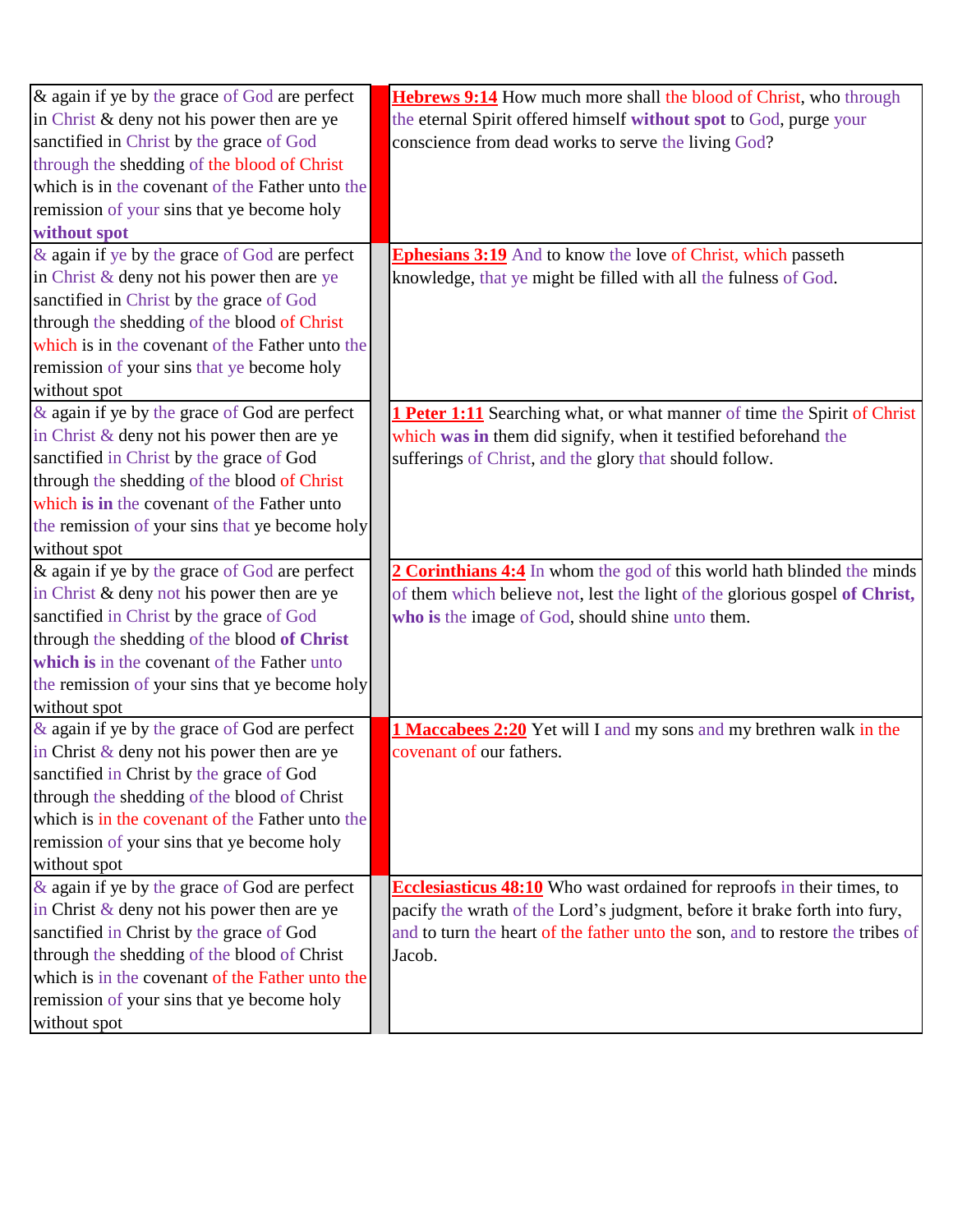| & again if ye by the grace of God are perfect    | Hebrews 9:14 How much more shall the blood of Christ, who through              |
|--------------------------------------------------|--------------------------------------------------------------------------------|
| in Christ & deny not his power then are ye       | the eternal Spirit offered himself without spot to God, purge your             |
| sanctified in Christ by the grace of God         | conscience from dead works to serve the living God?                            |
| through the shedding of the blood of Christ      |                                                                                |
| which is in the covenant of the Father unto the  |                                                                                |
| remission of your sins that ye become holy       |                                                                                |
| without spot                                     |                                                                                |
| & again if ye by the grace of God are perfect    | <b>Ephesians 3:19</b> And to know the love of Christ, which passeth            |
| in Christ & deny not his power then are ye       | knowledge, that ye might be filled with all the fulness of God.                |
| sanctified in Christ by the grace of God         |                                                                                |
| through the shedding of the blood of Christ      |                                                                                |
| which is in the covenant of the Father unto the  |                                                                                |
| remission of your sins that ye become holy       |                                                                                |
| without spot                                     |                                                                                |
| $\&$ again if ye by the grace of God are perfect | 1 Peter 1:11 Searching what, or what manner of time the Spirit of Christ       |
| in Christ & deny not his power then are ye       | which was in them did signify, when it testified beforehand the                |
| sanctified in Christ by the grace of God         | sufferings of Christ, and the glory that should follow.                        |
| through the shedding of the blood of Christ      |                                                                                |
| which is in the covenant of the Father unto      |                                                                                |
| the remission of your sins that ye become holy   |                                                                                |
| without spot                                     |                                                                                |
| $\&$ again if ye by the grace of God are perfect | 2 Corinthians 4:4 In whom the god of this world hath blinded the minds         |
| in Christ & deny not his power then are ye       | of them which believe not, lest the light of the glorious gospel of Christ,    |
| sanctified in Christ by the grace of God         | who is the image of God, should shine unto them.                               |
| through the shedding of the blood of Christ      |                                                                                |
| which is in the covenant of the Father unto      |                                                                                |
| the remission of your sins that ye become holy   |                                                                                |
| without spot                                     |                                                                                |
| $\&$ again if ye by the grace of God are perfect | 1 Maccabees 2:20 Yet will I and my sons and my brethren walk in the            |
| in Christ $\&$ deny not his power then are ye    | covenant of our fathers.                                                       |
| sanctified in Christ by the grace of God         |                                                                                |
| through the shedding of the blood of Christ      |                                                                                |
| which is in the covenant of the Father unto the  |                                                                                |
| remission of your sins that ye become holy       |                                                                                |
| without spot                                     |                                                                                |
| $\&$ again if ye by the grace of God are perfect | <b>Ecclesiasticus 48:10</b> Who wast ordained for reproofs in their times, to  |
| in Christ $\&$ deny not his power then are ye    | pacify the wrath of the Lord's judgment, before it brake forth into fury,      |
| sanctified in Christ by the grace of God         | and to turn the heart of the father unto the son, and to restore the tribes of |
| through the shedding of the blood of Christ      | Jacob.                                                                         |
| which is in the covenant of the Father unto the  |                                                                                |
| remission of your sins that ye become holy       |                                                                                |
| without spot                                     |                                                                                |